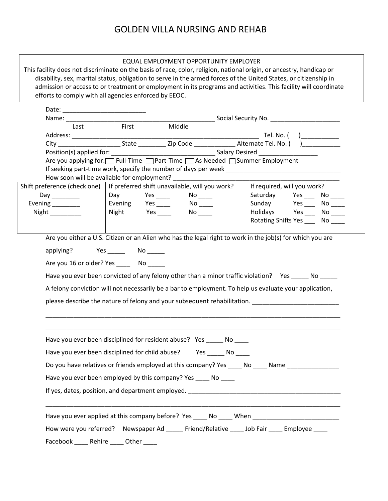| This facility does not discriminate on the basis of race, color, religion, national origin, or ancestry, handicap or<br>disability, sex, marital status, obligation to serve in the armed forces of the United States, or citizenship in<br>admission or access to or treatment or employment in its programs and activities. This facility will coordinate<br>efforts to comply with all agencies enforced by EEOC. |                            | EQUAL EMPLOYMENT OPPORTUNITY EMPLOYER |                      |                                       |  |
|----------------------------------------------------------------------------------------------------------------------------------------------------------------------------------------------------------------------------------------------------------------------------------------------------------------------------------------------------------------------------------------------------------------------|----------------------------|---------------------------------------|----------------------|---------------------------------------|--|
|                                                                                                                                                                                                                                                                                                                                                                                                                      |                            |                                       |                      |                                       |  |
| Last                                                                                                                                                                                                                                                                                                                                                                                                                 | First                      | Middle                                |                      |                                       |  |
|                                                                                                                                                                                                                                                                                                                                                                                                                      |                            |                                       |                      |                                       |  |
|                                                                                                                                                                                                                                                                                                                                                                                                                      |                            |                                       |                      |                                       |  |
| Are you applying for: Full-Time DPart-Time As Needed DSummer Employment                                                                                                                                                                                                                                                                                                                                              |                            |                                       |                      |                                       |  |
|                                                                                                                                                                                                                                                                                                                                                                                                                      |                            |                                       |                      |                                       |  |
| How soon will be available for employment?                                                                                                                                                                                                                                                                                                                                                                           |                            |                                       |                      |                                       |  |
| Shift preference (check one)   If preferred shift unavailable, will you work?                                                                                                                                                                                                                                                                                                                                        |                            |                                       |                      | If required, will you work?           |  |
| Day __________                                                                                                                                                                                                                                                                                                                                                                                                       | Day Yes _____              |                                       | $No$ <sub>____</sub> | Saturday Yes ___ No ____              |  |
| Evening ________<br>Night                                                                                                                                                                                                                                                                                                                                                                                            | Evening Yes ____           | Night Yes _____ No ____               |                      | Sunday Yes No ____<br>Holidays Yes No |  |
|                                                                                                                                                                                                                                                                                                                                                                                                                      |                            |                                       |                      | Rotating Shifts Yes ______ No _____   |  |
| applying? Yes ______ No _____<br>Are you 16 or older? Yes ________ No ______<br>Have you ever been convicted of any felony other than a minor traffic violation? Yes _____ No _____<br>A felony conviction will not necessarily be a bar to employment. To help us evaluate your application,<br>please describe the nature of felony and your subsequent rehabilitation.                                            |                            |                                       |                      |                                       |  |
| Have you ever been disciplined for resident abuse? Yes ______ No<br>Have you ever been disciplined for child abuse? Yes _______ No<br>Do you have relatives or friends employed at this company? Yes _____ No _____ Name ________________<br>Have you ever been employed by this company? Yes ____ No ____                                                                                                           |                            |                                       |                      |                                       |  |
| Have you ever applied at this company before? Yes ____ No ____ When _______________________________<br>How were you referred? Newspaper Ad _____ Friend/Relative ____ Job Fair ____ Employee ____<br>Facebook ___                                                                                                                                                                                                    | Rehire _____<br>Other $\_$ |                                       |                      |                                       |  |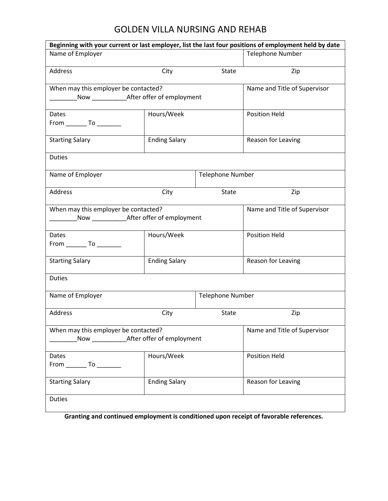| Beginning with your current or last employer, list the last four positions of employment held by date |                              |                         |                              |  |  |
|-------------------------------------------------------------------------------------------------------|------------------------------|-------------------------|------------------------------|--|--|
| Name of Employer                                                                                      |                              |                         | <b>Telephone Number</b>      |  |  |
| Address                                                                                               | City                         | State                   | Zip                          |  |  |
| When may this employer be contacted?                                                                  |                              |                         | Name and Title of Supervisor |  |  |
|                                                                                                       |                              |                         |                              |  |  |
| Dates                                                                                                 | Hours/Week                   |                         | <b>Position Held</b>         |  |  |
| From ___________ To ___________                                                                       |                              |                         |                              |  |  |
| <b>Starting Salary</b>                                                                                | <b>Ending Salary</b>         |                         | Reason for Leaving           |  |  |
| <b>Duties</b>                                                                                         |                              |                         |                              |  |  |
| Name of Employer                                                                                      |                              |                         | <b>Telephone Number</b>      |  |  |
| Address                                                                                               | City                         | State                   | Zip                          |  |  |
| When may this employer be contacted?                                                                  | Name and Title of Supervisor |                         |                              |  |  |
| Dates                                                                                                 | Hours/Week                   |                         | <b>Position Held</b>         |  |  |
|                                                                                                       |                              |                         |                              |  |  |
| <b>Starting Salary</b>                                                                                | <b>Ending Salary</b>         |                         | Reason for Leaving           |  |  |
| <b>Duties</b>                                                                                         |                              |                         |                              |  |  |
| Name of Employer                                                                                      |                              | <b>Telephone Number</b> |                              |  |  |
| Address                                                                                               | City                         | State                   | Zip                          |  |  |
| When may this employer be contacted?<br>Name and Title of Supervisor                                  |                              |                         |                              |  |  |
|                                                                                                       |                              |                         |                              |  |  |
| Dates                                                                                                 | Hours/Week                   |                         | <b>Position Held</b>         |  |  |
| $From$ __________ To ___________                                                                      |                              |                         |                              |  |  |
| <b>Starting Salary</b>                                                                                | <b>Ending Salary</b>         |                         | Reason for Leaving           |  |  |
| <b>Duties</b>                                                                                         |                              |                         |                              |  |  |

**Granting and continued employment is conditioned upon receipt of favorable references.**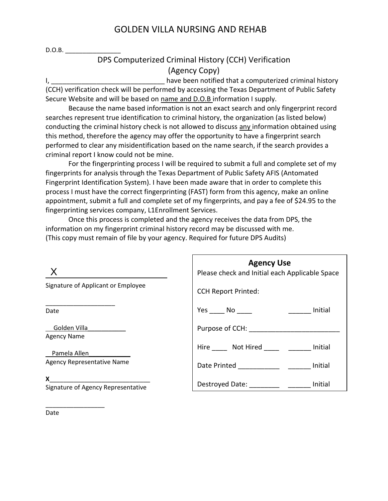$D.O.B.$ 

### DPS Computerized Criminal History (CCH) Verification (Agency Copy)

I, \_\_\_\_\_\_\_\_\_\_\_\_\_\_\_\_\_\_\_\_\_\_\_\_\_\_\_\_\_\_\_\_\_ have been notified that a computerized criminal history (CCH) verification check will be performed by accessing the Texas Department of Public Safety Secure Website and will be based on name and D.O.B information I supply.

Because the name based information is not an exact search and only fingerprint record searches represent true identification to criminal history, the organization (as listed below) conducting the criminal history check is not allowed to discuss any information obtained using this method, therefore the agency may offer the opportunity to have a fingerprint search performed to clear any misidentification based on the name search, if the search provides a criminal report I know could not be mine.

For the fingerprinting process I will be required to submit a full and complete set of my fingerprints for analysis through the Texas Department of Public Safety AFIS (Antomated Fingerprint Identification System). I have been made aware that in order to complete this process I must have the correct fingerprinting (FAST) form from this agency, make an online appointment, submit a full and complete set of my fingerprints, and pay a fee of \$24.95 to the fingerprinting services company, L1Enrollment Services.

Once this process is completed and the agency receives the data from DPS, the information on my fingerprint criminal history record may be discussed with me. (This copy must remain of file by your agency. Required for future DPS Audits)

| $\boldsymbol{\mathsf{X}}$                             | <b>Agency Use</b><br>Please check and Initial each Applicable Space |  |  |  |  |
|-------------------------------------------------------|---------------------------------------------------------------------|--|--|--|--|
| Signature of Applicant or Employee                    | <b>CCH Report Printed:</b>                                          |  |  |  |  |
| Date                                                  | Yes No<br>Initial                                                   |  |  |  |  |
| Golden Villa <b>Carl Colden</b><br><b>Agency Name</b> | Purpose of CCH: _______                                             |  |  |  |  |
| Pamela Allen                                          | Hire Not Hired _____ ______<br>Initial                              |  |  |  |  |
| <b>Agency Representative Name</b>                     | Date Printed <u>___</u> ______<br>Initial                           |  |  |  |  |
| X<br>Signature of Agency Representative               | Destroyed Date: ____________ _______ Initial                        |  |  |  |  |
|                                                       |                                                                     |  |  |  |  |

Date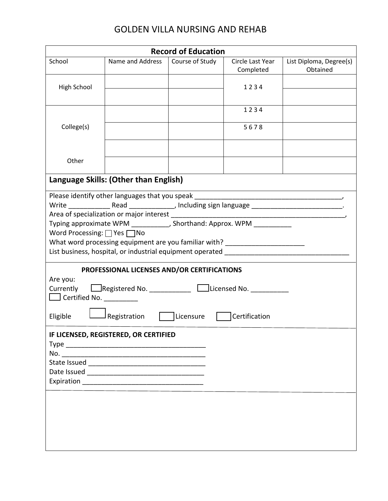| School<br>Name and Address<br>Course of Study<br>Circle Last Year<br>List Diploma, Degree(s)<br>Completed<br>Obtained<br><b>High School</b><br>1234<br>1234<br>5678<br>College(s)<br>Other<br>Language Skills: (Other than English)<br>Please identify other languages that you speak _________<br>Write _________________Read _________________, Including sign language _________________________________.<br>Typing approximate WPM ___________, Shorthand: Approx. WPM ___________<br>Word Processing: $\Box$ Yes $\Box$ No<br>What word processing equipment are you familiar with? __________________________<br>List business, hospital, or industrial equipment operated<br>PROFESSIONAL LICENSES AND/OR CERTIFICATIONS<br>Are you:<br>Currently CRegistered No. __________ CLicensed No. ________<br>$\Box$ Certified No.<br>Licensure<br>Certification<br>J Registration<br>Eligible<br>IF LICENSED, REGISTERED, OR CERTIFIED | <b>Record of Education</b> |  |  |  |  |  |  |
|-----------------------------------------------------------------------------------------------------------------------------------------------------------------------------------------------------------------------------------------------------------------------------------------------------------------------------------------------------------------------------------------------------------------------------------------------------------------------------------------------------------------------------------------------------------------------------------------------------------------------------------------------------------------------------------------------------------------------------------------------------------------------------------------------------------------------------------------------------------------------------------------------------------------------------------------|----------------------------|--|--|--|--|--|--|
|                                                                                                                                                                                                                                                                                                                                                                                                                                                                                                                                                                                                                                                                                                                                                                                                                                                                                                                                         |                            |  |  |  |  |  |  |
|                                                                                                                                                                                                                                                                                                                                                                                                                                                                                                                                                                                                                                                                                                                                                                                                                                                                                                                                         |                            |  |  |  |  |  |  |
|                                                                                                                                                                                                                                                                                                                                                                                                                                                                                                                                                                                                                                                                                                                                                                                                                                                                                                                                         |                            |  |  |  |  |  |  |
|                                                                                                                                                                                                                                                                                                                                                                                                                                                                                                                                                                                                                                                                                                                                                                                                                                                                                                                                         |                            |  |  |  |  |  |  |
|                                                                                                                                                                                                                                                                                                                                                                                                                                                                                                                                                                                                                                                                                                                                                                                                                                                                                                                                         |                            |  |  |  |  |  |  |
|                                                                                                                                                                                                                                                                                                                                                                                                                                                                                                                                                                                                                                                                                                                                                                                                                                                                                                                                         |                            |  |  |  |  |  |  |
|                                                                                                                                                                                                                                                                                                                                                                                                                                                                                                                                                                                                                                                                                                                                                                                                                                                                                                                                         |                            |  |  |  |  |  |  |
|                                                                                                                                                                                                                                                                                                                                                                                                                                                                                                                                                                                                                                                                                                                                                                                                                                                                                                                                         |                            |  |  |  |  |  |  |
|                                                                                                                                                                                                                                                                                                                                                                                                                                                                                                                                                                                                                                                                                                                                                                                                                                                                                                                                         |                            |  |  |  |  |  |  |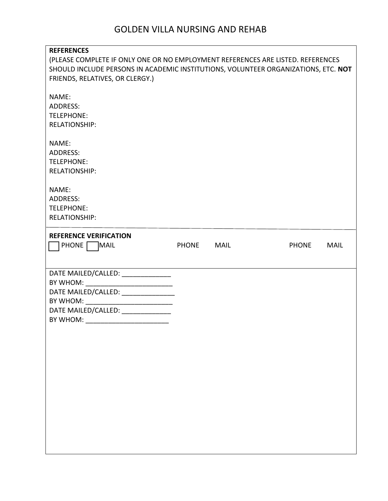| <b>REFERENCES</b><br>(PLEASE COMPLETE IF ONLY ONE OR NO EMPLOYMENT REFERENCES ARE LISTED. REFERENCES<br>SHOULD INCLUDE PERSONS IN ACADEMIC INSTITUTIONS, VOLUNTEER ORGANIZATIONS, ETC. NOT<br>FRIENDS, RELATIVES, OR CLERGY.)                  |              |      |              |             |
|------------------------------------------------------------------------------------------------------------------------------------------------------------------------------------------------------------------------------------------------|--------------|------|--------------|-------------|
| NAME:<br>ADDRESS:<br><b>TELEPHONE:</b><br><b>RELATIONSHIP:</b>                                                                                                                                                                                 |              |      |              |             |
| NAME:<br><b>ADDRESS:</b><br><b>TELEPHONE:</b><br><b>RELATIONSHIP:</b>                                                                                                                                                                          |              |      |              |             |
| NAME:<br><b>ADDRESS:</b><br><b>TELEPHONE:</b><br><b>RELATIONSHIP:</b>                                                                                                                                                                          |              |      |              |             |
| <b>REFERENCE VERIFICATION</b><br>PHONE MAIL                                                                                                                                                                                                    | <b>PHONE</b> | MAIL | <b>PHONE</b> | <b>MAIL</b> |
| DATE MAILED/CALLED: _______________<br>BY WHOM: ______________________________<br>DATE MAILED/CALLED: _______________<br>BY WHOM: _____________________________<br>DATE MAILED/CALLED: ______________<br>BY WHOM: ____________________________ |              |      |              |             |
|                                                                                                                                                                                                                                                |              |      |              |             |
|                                                                                                                                                                                                                                                |              |      |              |             |
|                                                                                                                                                                                                                                                |              |      |              |             |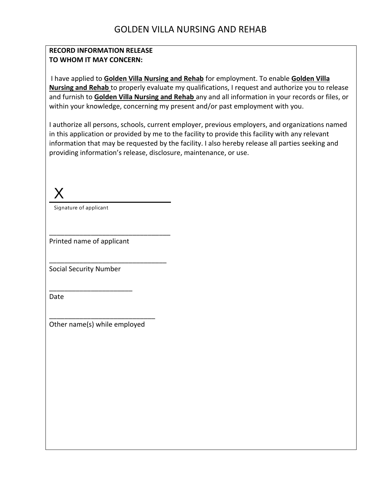#### **RECORD INFORMATION RELEASE TO WHOM IT MAY CONCERN:**

I have applied to **Golden Villa Nursing and Rehab** for employment. To enable **Golden Villa Nursing and Rehab** to properly evaluate my qualifications, I request and authorize you to release and furnish to **Golden Villa Nursing and Rehab** any and all information in your records or files, or within your knowledge, concerning my present and/or past employment with you.

I authorize all persons, schools, current employer, previous employers, and organizations named in this application or provided by me to the facility to provide this facility with any relevant information that may be requested by the facility. I also hereby release all parties seeking and providing information's release, disclosure, maintenance, or use.

X

Signature of applicant

Printed name of applicant

\_\_\_\_\_\_\_\_\_\_\_\_\_\_\_\_\_\_\_\_\_\_\_\_\_\_\_\_\_\_\_\_

\_\_\_\_\_\_\_\_\_\_\_\_\_\_\_\_\_\_\_\_\_\_\_\_\_\_\_\_\_\_\_

Social Security Number

\_\_\_\_\_\_\_\_\_\_\_\_\_\_\_\_\_\_\_\_\_\_

Date

\_\_\_\_\_\_\_\_\_\_\_\_\_\_\_\_\_\_\_\_\_\_\_\_\_\_\_\_ Other name(s) while employed